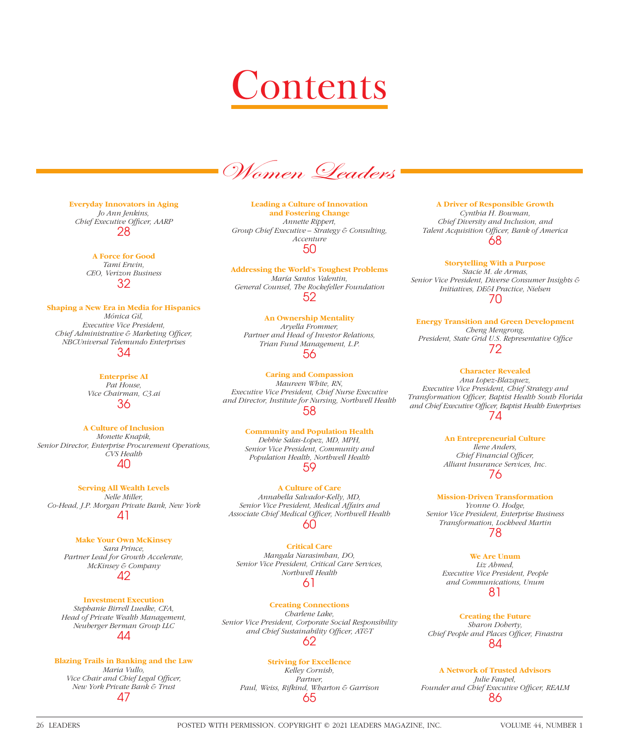## Contents

Women Leaders

**Everyday Innovators in Aging** *Jo Ann Jenkins,*  **Chief Executive Officer, AARP** 28

> **A Force for Good** *Tami Erwin, CEO, Verizon Business* 32

**Shaping a New Era in Media for Hispanics** *Mónica Gil, Executive Vice President, Chief Administrative & Marketing Officer, NBCUniversal Telemundo Enterprises*

34

**Enterprise AI** *Pat House, Vice Chairman, C3.ai* 36

**A Culture of Inclusion**

*Monette Knapik, Senior Director, Enterprise Procurement Operations, CVS Health* 40

**Serving All Wealth Levels** *Nelle Miller, Co-Head, J.P. Morgan Private Bank, New York* 41

**Make Your Own McKinsey** *Sara Prince, Partner Lead for Growth Accelerate, McKinsey & Company* 42

**Investment Execution** *Stephanie Birrell Luedke, CFA, Head of Private Wealth Management, Neuberger Berman Group LLC* 44

**Blazing Trails in Banking and the Law** *Maria Vullo,* 

*Vice Chair and Chief Legal Officer, New York Private Bank & Trust* 47

**Leading a Culture of Innovation and Fostering Change** *Annette Rippert, Group Chief Executive – Strategy & Consulting, Accenture* 50

**Addressing the World's Toughest Problems** *María Santos Valentin, General Counsel, The Rockefeller Foundation* 52

**An Ownership Mentality** *Aryella Frommer, Partner and Head of Investor Relations, Trian Fund Management, L.P.* 56

**Caring and Compassion** *Maureen White, RN, Executive Vice President, Chief Nurse Executive and Director, Institute for Nursing, Northwell Health* 58

> **Community and Population Health** *Debbie Salas-Lopez, MD, MPH, Senior Vice President, Community and Population Health, Northwell Health* 59

**A Culture of Care**  *Annabella Salvador-Kelly, MD, Senior Vice President, Medical Affairs and*  Associate Chief Medical Officer, Northwell Health 60

**Critical Care**  *Mangala Narasimhan, DO, Senior Vice President, Critical Care Services, Northwell Health*

61

**Creating Connections** *Charlene Lake, Senior Vice President, Corporate Social Responsibility*  and Chief Sustainability Officer, AT&T 62

## **Striving for Excellence**

*Kelley Cornish, Partner, Paul, Weiss, Rifkind, Wharton & Garrison* 65

**A Driver of Responsible Growth** *Cynthia H. Bowman, Chief Diversity and Inclusion, and* **Talent Acquisition Officer, Bank of America** 68

**Storytelling With a Purpose** *Stacie M. de Armas, Senior Vice President, Diverse Consumer Insights & Initiatives, DE&I Practice, Nielsen* 70

**Energy Transition and Green Development** *Cheng Mengrong,*  President, State Grid U.S. Representative Office 72

**Character Revealed**

 *Ana Lopez-Blazquez, Executive Vice President, Chief Strategy and Transformation Offi cer, Baptist Health South Florida and Chief Executive Offi cer, Baptist Health Enterprises* 74

> **An Entrepreneurial Culture** *Ilene Anders, Chief Financial Officer, Alliant Insurance Services, Inc.* 76

**Mission-Driven Transformation** *Yvonne O. Hodge, Senior Vice President, Enterprise Business Transformation, Lockheed Martin* 78

> **We Are Unum** *Liz Ahmed, Executive Vice President, People and Communications, Unum* 81

**Creating the Future** *Sharon Doherty, Chief People and Places Officer, Finastra* 84

**A Network of Trusted Advisors** *Julie Faupel,*  Founder and Chief Executive Officer, REALM 86

26 LEADERS POSTED WITH PERMISSION. COPYRIGHT © 2021 LEADERS MAGAZINE, INC. VOLUME 44, NUMBER 1